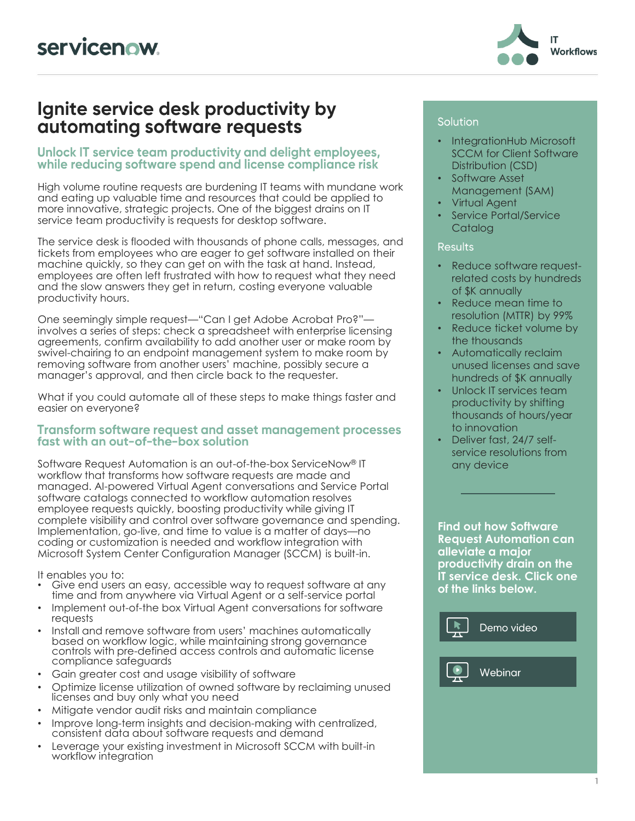

### Ignite service desk productivity by automating software requests

#### Unlock IT service team productivity and delight employees, while reducing software spend and license compliance risk

High volume routine requests are burdening IT teams with mundane work and eating up valuable time and resources that could be applied to more innovative, strategic projects. One of the biggest drains on IT service team productivity is requests for desktop software.

The service desk is flooded with thousands of phone calls, messages, and tickets from employees who are eager to get software installed on their machine quickly, so they can get on with the task at hand. Instead, employees are often left frustrated with how to request what they need and the slow answers they get in return, costing everyone valuable productivity hours.

One seemingly simple request—"Can I get Adobe Acrobat Pro?" involves a series of steps: check a spreadsheet with enterprise licensing agreements, confirm availability to add another user or make room by swivel-chairing to an endpoint management system to make room by removing software from another users' machine, possibly secure a manager's approval, and then circle back to the requester.

What if you could automate all of these steps to make things faster and easier on everyone?

#### **Transform software request and asset management processes** fast with an out-of-the-box solution

Software Request Automation is an out-of-the-box ServiceNow® IT workflow that transforms how software requests are made and managed. AI-powered Virtual Agent conversations and Service Portal software catalogs connected to workflow automation resolves employee requests quickly, boosting productivity while giving IT complete visibility and control over software governance and spending. Implementation, go-live, and time to value is a matter of days—no coding or customization is needed and workflow integration with Microsoft System Center Configuration Manager (SCCM) is built-in.

It enables you to:

- Give end users an easy, accessible way to request software at any time and from anywhere via Virtual Agent or a self-service portal
- Implement out-of-the box Virtual Agent conversations for software requests
- Install and remove software from users' machines automatically based on workflow logic, while maintaining strong governance controls with pre-defined access controls and automatic license compliance safeguards
- Gain greater cost and usage visibility of software
- Optimize license utilization of owned software by reclaiming unused licenses and buy only what you need
- Mitigate vendor audit risks and maintain compliance
- Improve long-term insights and decision-making with centralized, consistent data about software requests and demand
- Leverage your existing investment in Microsoft SCCM with built-in workflow integration

#### Solution

- IntegrationHub Microsoft SCCM for Client Software Distribution (CSD)
- Software Asset Management (SAM)
- Virtual Agent
- Service Portal/Service **Catalog**

#### **Results**

- Reduce software requestrelated costs by hundreds of \$K annually
- Reduce mean time to resolution (MTTR) by 99%
- Reduce ticket volume by the thousands
- Automatically reclaim unused licenses and save hundreds of \$K annually
- Unlock IT services team productivity by shifting thousands of hours/year to innovation
- Deliver fast, 24/7 selfservice resolutions from any device

**Find out how Software Request Automation can alleviate a major productivity drain on the IT service desk. Click one of the links below.**

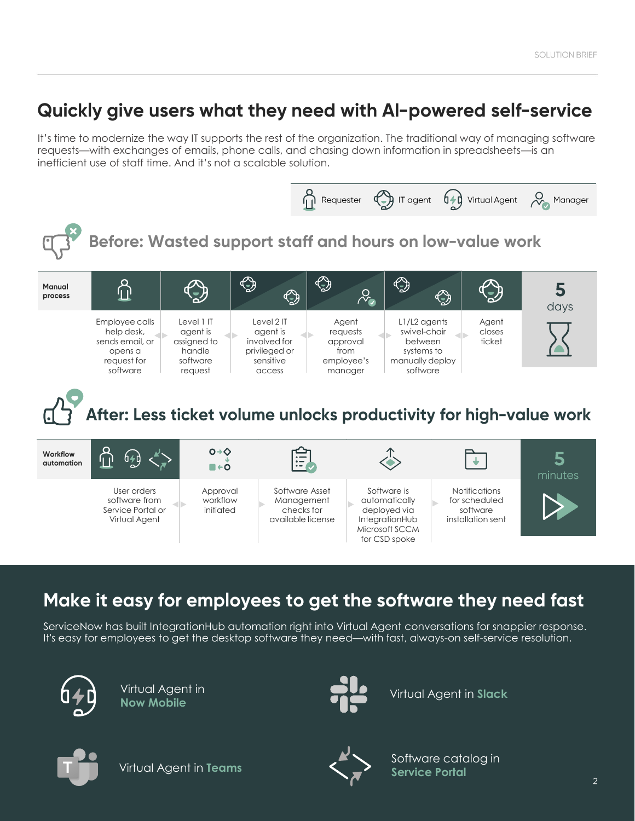# Quickly give users what they need with AI-powered self-service

It's time to modernize the way IT supports the rest of the organization. The traditional way of managing software requests—with exchanges of emails, phone calls, and chasing down information in spreadsheets—is an inefficient use of staff time. And it's not a scalable solution.



## Make it easy for employees to get the software they need fast

ServiceNow has built IntegrationHub automation right into Virtual Agent conversations for snappier response. It's easy for employees to get the desktop software they need—with fast, always-on self-service resolution.



Virtual Agent in **Now Mobile**



Virtual Agent in **Slack**



Virtual Agent in **Teams**



Software catalog in **Service Portal**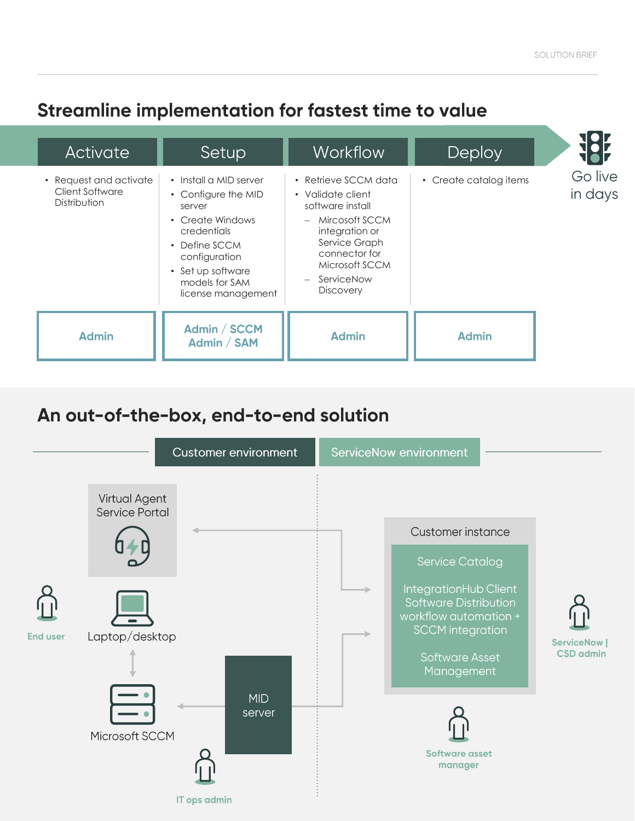## Streamline implementation for fastest time to value

| Activate                                                  | Setup                                                                                                                                                                                                           | <b>Workflow</b>                                                                                                                                                                                  | Deploy                 |                    |
|-----------------------------------------------------------|-----------------------------------------------------------------------------------------------------------------------------------------------------------------------------------------------------------------|--------------------------------------------------------------------------------------------------------------------------------------------------------------------------------------------------|------------------------|--------------------|
| • Request and activate<br>Client Software<br>Distribution | • Install a MID server<br>• Configure the MID<br>server<br>Create Windows<br>$\bullet$<br>credentials<br>Define SCCM<br>$\bullet$<br>configuration<br>• Set up software<br>models for SAM<br>license management | • Retrieve SCCM data<br>• Validate client<br>software install<br>Mircosoft SCCM<br>$-$<br>integration or<br>Service Graph<br>connector for<br>Microsoft SCCM<br>- ServiceNow<br><b>Discovery</b> | • Create catalog items | Go live<br>in days |
| <b>Admin</b>                                              | Admin / SCCM<br>Admin / SAM                                                                                                                                                                                     | <b>Admin</b>                                                                                                                                                                                     | <b>Admin</b>           |                    |

### An out-of-the-box, end-to-end solution